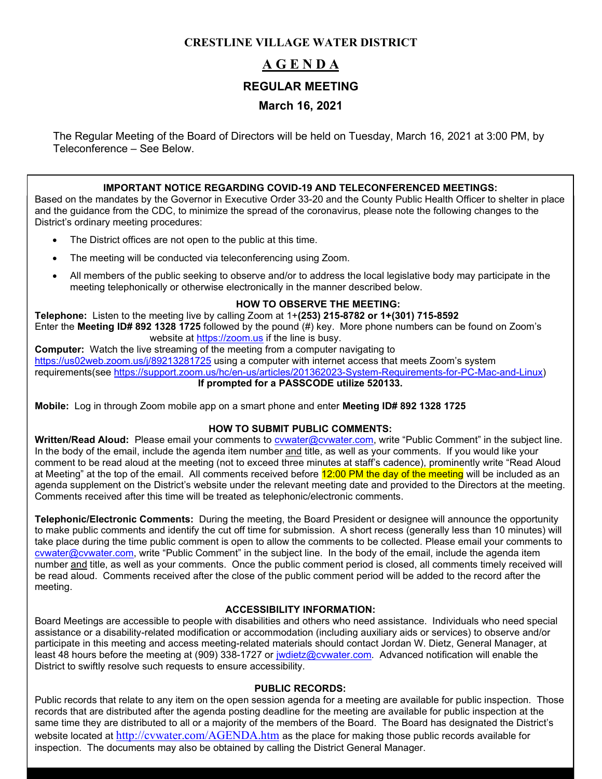## **CRESTLINE VILLAGE WATER DISTRICT**

## **A G E N D A REGULAR MEETING March 16, 2021**

The Regular Meeting of the Board of Directors will be held on Tuesday, March 16, 2021 at 3:00 PM, by Teleconference – See Below.

## **IMPORTANT NOTICE REGARDING COVID-19 AND TELECONFERENCED MEETINGS:**

Based on the mandates by the Governor in Executive Order 33-20 and the County Public Health Officer to shelter in place and the guidance from the CDC, to minimize the spread of the coronavirus, please note the following changes to the District's ordinary meeting procedures:

- The District offices are not open to the public at this time.
- The meeting will be conducted via teleconferencing using Zoom.
- All members of the public seeking to observe and/or to address the local legislative body may participate in the meeting telephonically or otherwise electronically in the manner described below.

## **HOW TO OBSERVE THE MEETING:**

**Telephone:** Listen to the meeting live by calling Zoom at 1+**(253) 215-8782 or 1+(301) 715-8592** Enter the **Meeting ID# 892 1328 1725** followed by the pound (#) key. More phone numbers can be found on Zoom's website at [https://zoom.us](https://zoom.us/) if the line is busy.

**Computer:** Watch the live streaming of the meeting from a computer navigating to <https://us02web.zoom.us/j/89213281725> using a computer with internet access that meets Zoom's system requirements(see [https://support.zoom.us/hc/en-us/articles/201362023-System-Requirements-for-PC-Mac-and-Linux\)](https://support.zoom.us/hc/en-us/articles/201362023-System-Requirements-for-PC-Mac-and-Linux) **If prompted for a PASSCODE utilize 520133.**

**Mobile:** Log in through Zoom mobile app on a smart phone and enter **Meeting ID# 892 1328 1725**

## **HOW TO SUBMIT PUBLIC COMMENTS:**

**Written/Read Aloud:** Please email your comments to [cvwater@cvwater.com,](mailto:cvwater@cvwater.com) write "Public Comment" in the subject line. In the body of the email, include the agenda item number and title, as well as your comments. If you would like your comment to be read aloud at the meeting (not to exceed three minutes at staff's cadence), prominently write "Read Aloud at Meeting" at the top of the email. All comments received before 12:00 PM the day of the meeting will be included as an agenda supplement on the District's website under the relevant meeting date and provided to the Directors at the meeting. Comments received after this time will be treated as telephonic/electronic comments.

**Telephonic/Electronic Comments:** During the meeting, the Board President or designee will announce the opportunity to make public comments and identify the cut off time for submission. A short recess (generally less than 10 minutes) will take place during the time public comment is open to allow the comments to be collected. Please email your comments to [cvwater@cvwater.com,](mailto:cvwater@cvwater.com) write "Public Comment" in the subject line. In the body of the email, include the agenda item number and title, as well as your comments. Once the public comment period is closed, all comments timely received will be read aloud. Comments received after the close of the public comment period will be added to the record after the meeting.

## **ACCESSIBILITY INFORMATION:**

Board Meetings are accessible to people with disabilities and others who need assistance. Individuals who need special assistance or a disability-related modification or accommodation (including auxiliary aids or services) to observe and/or participate in this meeting and access meeting-related materials should contact Jordan W. Dietz, General Manager, at least 48 hours before the meeting at (909) 338-1727 or [jwdietz@cvwater.com.](mailto:jwdietz@cvwater.com) Advanced notification will enable the District to swiftly resolve such requests to ensure accessibility.

## **PUBLIC RECORDS:**

Public records that relate to any item on the open session agenda for a meeting are available for public inspection. Those records that are distributed after the agenda posting deadline for the meeting are available for public inspection at the same time they are distributed to all or a majority of the members of the Board. The Board has designated the District's website located at <http://cvwater.com/AGENDA.htm> as the place for making those public records available for inspection. The documents may also be obtained by calling the District General Manager.